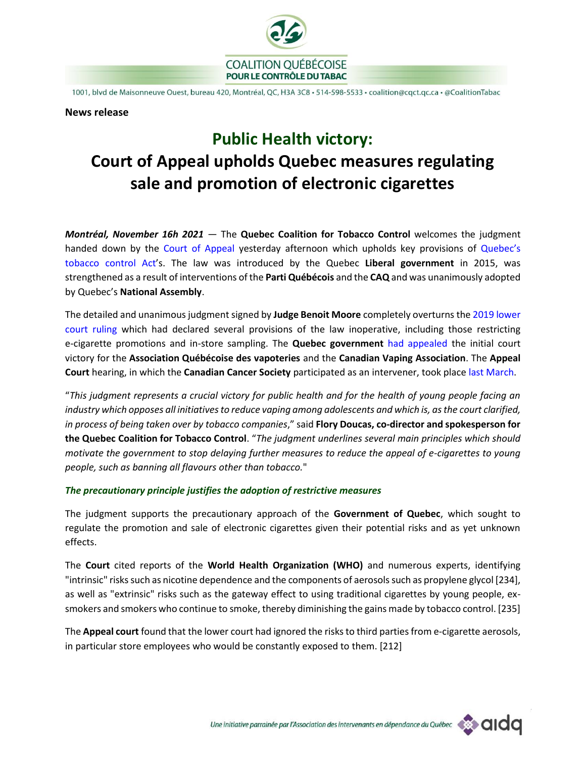

1001, blvd de Maisonneuve Ouest, bureau 420, Montréal, QC, H3A 3C8 · 514-598-5533 · coalition@cqct.qc.ca · @CoalitionTabac

#### **News release**

# **Public Health victory: Court of Appeal upholds Quebec measures regulating sale and promotion of electronic cigarettes**

*Montréal, November 16h 2021* — The **Quebec Coalition for Tobacco Control** welcomes the judgment handed down by the [Court of Appeal y](https://cqct.qc.ca/Documents_docs/DOCU_2021/JUGE_21_11_15_CourAppelQuebec_Vapotage.pdf)esterday afternoon which upholds key provisions of [Quebec's](http://legisquebec.gouv.qc.ca/fr/showdoc/cs/l-6.2)  [tobacco control Act](http://legisquebec.gouv.qc.ca/fr/showdoc/cs/l-6.2)'s. The law was introduced by the Quebec **Liberal government** in 2015, was strengthened as a result of interventions of the **Parti Québécois** and the **CAQ** and was unanimously adopted by Quebec's **National Assembly**.

The detailed and unanimous judgment signed by **Judge Benoit Moore** completely overturns th[e 2019 lower](http://www.cqct.qc.ca/Documents_docs/DOCU_2019/DOCU_19_05_03_Jugement_CourSuperieure_AQV.pdf)  [court ruling](http://www.cqct.qc.ca/Documents_docs/DOCU_2019/DOCU_19_05_03_Jugement_CourSuperieure_AQV.pdf) which had declared several provisions of the law inoperative, including those restricting e-cigarette promotions and in-store sampling. The **Quebec government** [had appealed](https://www.msss.gouv.qc.ca/ministere/salle-de-presse/communique-1823/) the initial court victory for the **Association Québécoise des vapoteries** and the **Canadian Vaping Association**. The **Appeal Court** hearing, in which the **Canadian Cancer Society** participated as an intervener, took place [last March.](https://www.newswire.ca/fr/news-releases/appel-du-jugement-invalidant-certaines-dispositions-de-la-loi-encadrant-le-vapotage-contradictions-et-desinformation-de-l-industrie-859979246.html)

"*This judgment represents a crucial victory for public health and for the health of young people facing an industry which opposes all initiatives to reduce vaping among adolescents and which is, as the court clarified, in process of being taken over by tobacco companies*," said **Flory Doucas, co-director and spokesperson for the Quebec Coalition for Tobacco Control**. "*The judgment underlines several main principles which should motivate the government to stop delaying further measures to reduce the appeal of e-cigarettes to young people, such as banning all flavours other than tobacco.*"

## *The precautionary principle justifies the adoption of restrictive measures*

The judgment supports the precautionary approach of the **Government of Quebec**, which sought to regulate the promotion and sale of electronic cigarettes given their potential risks and as yet unknown effects.

The **Court** cited reports of the **World Health Organization (WHO)** and numerous experts, identifying "intrinsic" risks such as nicotine dependence and the components of aerosols such as propylene glycol [234], as well as "extrinsic" risks such as the gateway effect to using traditional cigarettes by young people, exsmokers and smokers who continue to smoke, thereby diminishing the gains made by tobacco control. [235]

The **Appeal court** found that the lower court had ignored the risks to third parties from e-cigarette aerosols, in particular store employees who would be constantly exposed to them. [212]